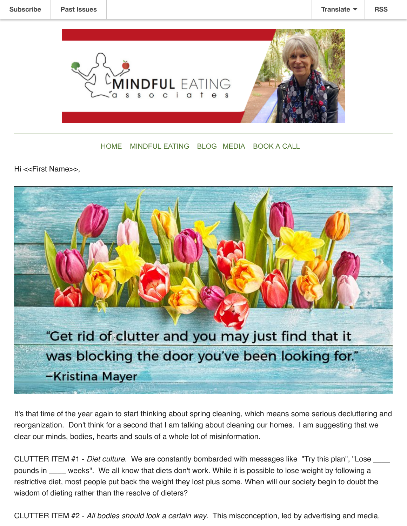

## [HOME](https://www.mbecoach.com/) [MINDFUL EATING](https://www.mbecoach.com/services) [BLOG](https://www.mbecoach.com/blog) [MEDIA](https://www.mbecoach.com/in-the-news) [BOOK A CALL](https://www.mbecoach.com/book-and-appointment)

Hi <<First Name>>,



It's that time of the year again to start thinking about spring cleaning, which means some serious decluttering and reorganization. Don't think for a second that I am talking about cleaning our homes. I am suggesting that we clear our minds, bodies, hearts and souls of a whole lot of misinformation.

CLUTTER ITEM #1 - *Diet culture.*  We are constantly bombarded with messages like "Try this plan", "Lose \_\_\_\_ pounds in \_\_\_\_ weeks". We all know that diets don't work. While it is possible to lose weight by following a restrictive diet, most people put back the weight they lost plus some. When will our society begin to doubt the wisdom of dieting rather than the resolve of dieters?

CLUTTER ITEM #2 - *All bodies should look a certain way*. This misconception, led by advertising and media,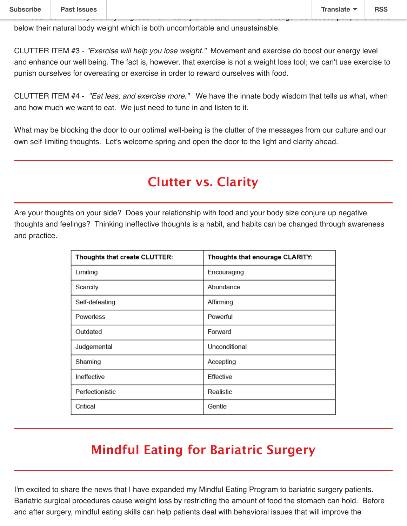below their natural body weight which is both uncomfortable and unsustainable.

CLUTTER ITEM #3 - *"Exercise will help you lose weight."* Movement and exercise do boost our energy level and enhance our well being. The fact is, however, that exercise is not a weight loss tool; we can't use exercise to punish ourselves for overeating or exercise in order to reward ourselves with food.

CLUTTER ITEM #4 - *"Eat less, and exercise more."*  We have the innate body wisdom that tells us what, when and how much we want to eat. We just need to tune in and listen to it.

What may be blocking the door to our optimal well-being is the clutter of the messages from our culture and our own self-limiting thoughts. Let's welcome spring and open the door to the light and clarity ahead.

## **Clutter vs. Clarity**

Are your thoughts on your side? Does your relationship with food and your body size conjure up negative thoughts and feelings? Thinking ineffective thoughts is a habit, and habits can be changed through awareness and practice.

| Thoughts that create CLUTTER: | Thoughts that enourage CLARITY: |  |  |
|-------------------------------|---------------------------------|--|--|
| Limiting                      | Encouraging                     |  |  |
| Scarcity                      | Abundance                       |  |  |
| Self-defeating                | Affirming                       |  |  |
| Powerless                     | Powerful                        |  |  |
| Outdated                      | Forward                         |  |  |
| Judgemental                   | Unconditional                   |  |  |
| Shaming                       | Accepting                       |  |  |
| Ineffective                   | Effective                       |  |  |
| Perfectionistic               | Realistic                       |  |  |
| Critical                      | Gentle                          |  |  |

## **Mindful Eating for Bariatric Surgery**

I'm excited to share the news that I have expanded my Mindful Eating Program to bariatric surgery patients. Bariatric surgical procedures cause weight loss by restricting the amount of food the stomach can hold. Before and after surgery, mindful eating skills can help patients deal with behavioral issues that will improve the